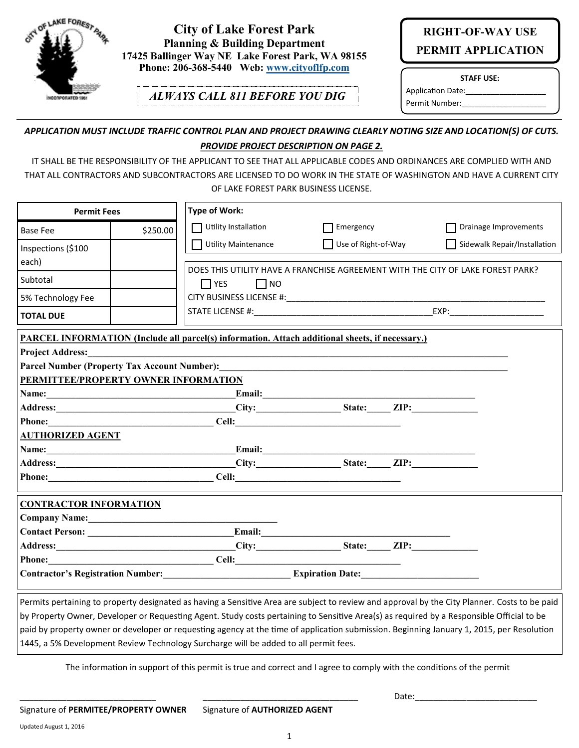

### **City of Lake Forest Park Planning & Building Department 17425 Ballinger Way NE Lake Forest Park, WA 98155 Phone: 206-368-5440 Web: [www.cityoflfp.com](http://www.cityoflfp.com)**

*ALWAYS CALL 811 BEFORE YOU DIG*

# **RIGHT-OF-WAY USE PERMIT APPLICATION**

**STAFF USE:**

Application Date: Permit Number:

#### *APPLICATION MUST INCLUDE TRAFFIC CONTROL PLAN AND PROJECT DRAWING CLEARLY NOTING SIZE AND LOCATION(S) OF CUTS. PROVIDE PROJECT DESCRIPTION ON PAGE 2.*

IT SHALL BE THE RESPONSIBILITY OF THE APPLICANT TO SEE THAT ALL APPLICABLE CODES AND ORDINANCES ARE COMPLIED WITH AND THAT ALL CONTRACTORS AND SUBCONTRACTORS ARE LICENSED TO DO WORK IN THE STATE OF WASHINGTON AND HAVE A CURRENT CITY OF LAKE FOREST PARK BUSINESS LICENSE.

| <b>Permit Fees</b>                                                                                             |          | Type of Work:                                                                                          |                                           |                                                                                                                                                                                                                                |
|----------------------------------------------------------------------------------------------------------------|----------|--------------------------------------------------------------------------------------------------------|-------------------------------------------|--------------------------------------------------------------------------------------------------------------------------------------------------------------------------------------------------------------------------------|
| <b>Base Fee</b>                                                                                                | \$250.00 | $\Box$ Utility Installation                                                                            | Emergency                                 | Drainage Improvements                                                                                                                                                                                                          |
| Inspections (\$100                                                                                             |          | Utility Maintenance                                                                                    | Use of Right-of-Way                       | Sidewalk Repair/Installation                                                                                                                                                                                                   |
| each)                                                                                                          |          |                                                                                                        |                                           |                                                                                                                                                                                                                                |
| Subtotal                                                                                                       |          | $\Box$ YES<br>$\Box$ NO                                                                                |                                           | DOES THIS UTILITY HAVE A FRANCHISE AGREEMENT WITH THE CITY OF LAKE FOREST PARK?                                                                                                                                                |
| 5% Technology Fee                                                                                              |          |                                                                                                        |                                           |                                                                                                                                                                                                                                |
| <b>TOTAL DUE</b>                                                                                               |          |                                                                                                        |                                           | EXP: The contract of the contract of the contract of the contract of the contract of the contract of the contract of the contract of the contract of the contract of the contract of the contract of the contract of the contr |
|                                                                                                                |          | <b>PARCEL INFORMATION (Include all parcel(s) information. Attach additional sheets, if necessary.)</b> |                                           |                                                                                                                                                                                                                                |
| <b>Project Address:</b>                                                                                        |          |                                                                                                        |                                           |                                                                                                                                                                                                                                |
|                                                                                                                |          | Parcel Number (Property Tax Account Number):                                                           |                                           |                                                                                                                                                                                                                                |
| PERMITTEE/PROPERTY OWNER INFORMATION                                                                           |          |                                                                                                        |                                           |                                                                                                                                                                                                                                |
| Name: 2008. 2008. 2010. 2010. 2010. 2010. 2010. 2010. 2010. 2011. 2012. 2012. 2013. 2014. 2014. 2014. 2015. 20 |          |                                                                                                        | Email: <u>International Communication</u> |                                                                                                                                                                                                                                |
|                                                                                                                |          | Address: City: City: State: ZIP:                                                                       |                                           |                                                                                                                                                                                                                                |
|                                                                                                                |          | <b>Phone:</b> Cell:                                                                                    |                                           |                                                                                                                                                                                                                                |
| <b>AUTHORIZED AGENT</b>                                                                                        |          |                                                                                                        |                                           |                                                                                                                                                                                                                                |
| Name: 2008. 2008. 2010. 2010. 2010. 2010. 2010. 2010. 2010. 2010. 2011. 2012. 2013. 2014. 2016. 2016. 2017. 20 |          |                                                                                                        |                                           |                                                                                                                                                                                                                                |
|                                                                                                                |          |                                                                                                        | City: State: ZIP:                         |                                                                                                                                                                                                                                |
| <b>Phone:</b>                                                                                                  |          | $Cell:$ $Cell:$ $\qquad \qquad$                                                                        |                                           |                                                                                                                                                                                                                                |
| <b>CONTRACTOR INFORMATION</b>                                                                                  |          |                                                                                                        |                                           |                                                                                                                                                                                                                                |
| Company Name: Manual Manual Manual Manual Manual Manual Manual Manual Manual Manual Manual Manual Manual Manua |          |                                                                                                        |                                           |                                                                                                                                                                                                                                |
|                                                                                                                |          |                                                                                                        |                                           |                                                                                                                                                                                                                                |
|                                                                                                                |          | Address: City: City: State: ZIP:                                                                       |                                           |                                                                                                                                                                                                                                |
| <b>Phone:</b>                                                                                                  |          | $\text{Cell:}$ and $\text{Cell:}$ and $\text{Cell:}$                                                   |                                           |                                                                                                                                                                                                                                |
|                                                                                                                |          | Contractor's Registration Number:<br><u>Expiration Date:</u>                                           |                                           |                                                                                                                                                                                                                                |
|                                                                                                                |          |                                                                                                        |                                           | التناقص الحنوان الانتقال المادين والمتحاول والمناسب والمناسب والمناسب                                                                                                                                                          |

Permits pertaining to property designated as having a Sensitive Area are subject to review and approval by the City Planner. Costs to be paid by Property Owner, Developer or Requesting Agent. Study costs pertaining to Sensitive Area(s) as required by a Responsible Official to be paid by property owner or developer or requesting agency at the time of application submission. Beginning January 1, 2015, per Resolution 1445, a 5% Development Review Technology Surcharge will be added to all permit fees.

The information in support of this permit is true and correct and I agree to comply with the conditions of the permit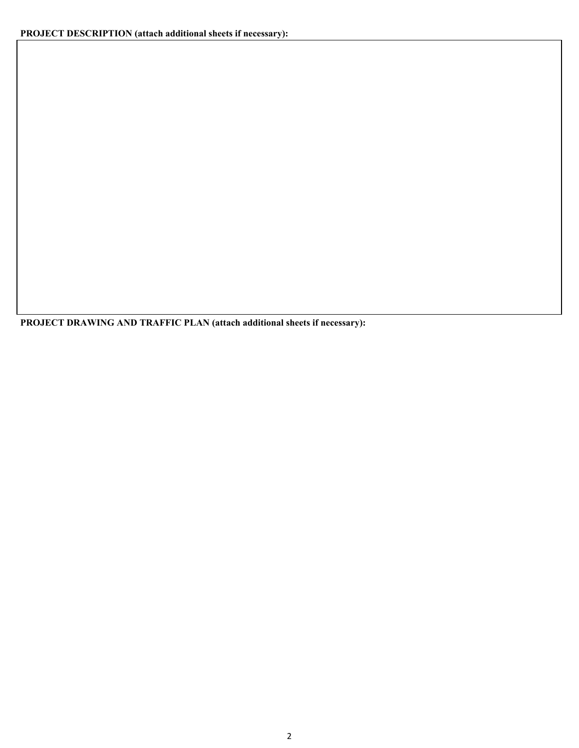**PROJECT DRAWING AND TRAFFIC PLAN (attach additional sheets if necessary):**